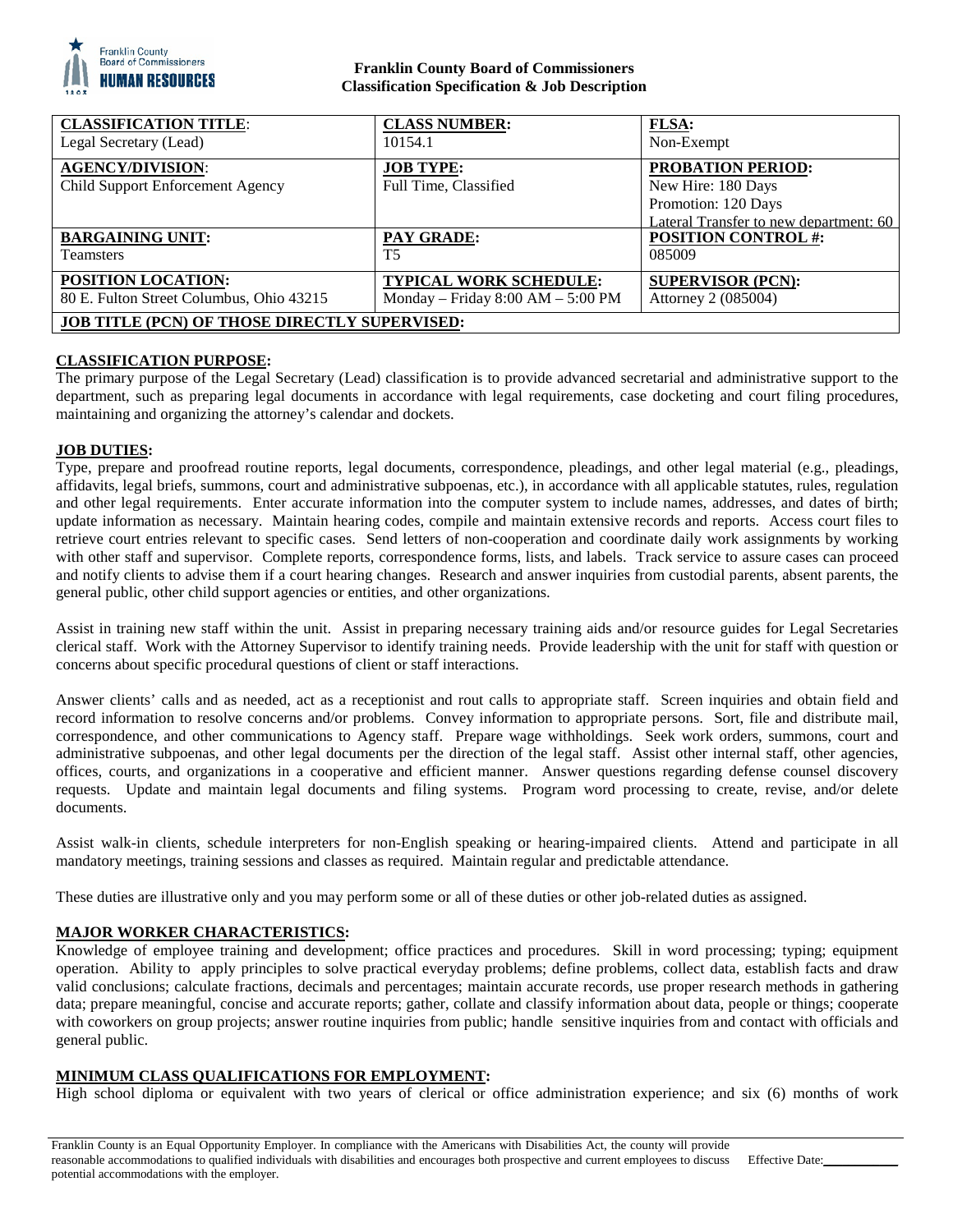

# **Franklin County Board of Commissioners Classification Specification & Job Description**

| <b>CLASSIFICATION TITLE:</b>                                | <b>CLASS NUMBER:</b>                      | <b>FLSA:</b>                                                                                                    |
|-------------------------------------------------------------|-------------------------------------------|-----------------------------------------------------------------------------------------------------------------|
| Legal Secretary (Lead)                                      | 10154.1                                   | Non-Exempt                                                                                                      |
| <b>AGENCY/DIVISION:</b><br>Child Support Enforcement Agency | <b>JOB TYPE:</b><br>Full Time, Classified | <b>PROBATION PERIOD:</b><br>New Hire: 180 Days<br>Promotion: 120 Days<br>Lateral Transfer to new department: 60 |
| <b>BARGAINING UNIT:</b>                                     | <b>PAY GRADE:</b>                         | <b>POSITION CONTROL #:</b>                                                                                      |
| <b>Teamsters</b>                                            | T <sub>5</sub>                            | 085009                                                                                                          |
| POSITION LOCATION:                                          | <b>TYPICAL WORK SCHEDULE:</b>             | <b>SUPERVISOR (PCN):</b>                                                                                        |
| 80 E. Fulton Street Columbus, Ohio 43215                    | Monday – Friday $8:00$ AM – $5:00$ PM     | Attorney 2 (085004)                                                                                             |
| <b>JOB TITLE (PCN) OF THOSE DIRECTLY SUPERVISED:</b>        |                                           |                                                                                                                 |

# **CLASSIFICATION PURPOSE:**

The primary purpose of the Legal Secretary (Lead) classification is to provide advanced secretarial and administrative support to the department, such as preparing legal documents in accordance with legal requirements, case docketing and court filing procedures, maintaining and organizing the attorney's calendar and dockets.

## **JOB DUTIES:**

Type, prepare and proofread routine reports, legal documents, correspondence, pleadings, and other legal material (e.g., pleadings, affidavits, legal briefs, summons, court and administrative subpoenas, etc.), in accordance with all applicable statutes, rules, regulation and other legal requirements. Enter accurate information into the computer system to include names, addresses, and dates of birth; update information as necessary. Maintain hearing codes, compile and maintain extensive records and reports. Access court files to retrieve court entries relevant to specific cases. Send letters of non-cooperation and coordinate daily work assignments by working with other staff and supervisor. Complete reports, correspondence forms, lists, and labels. Track service to assure cases can proceed and notify clients to advise them if a court hearing changes. Research and answer inquiries from custodial parents, absent parents, the general public, other child support agencies or entities, and other organizations.

Assist in training new staff within the unit. Assist in preparing necessary training aids and/or resource guides for Legal Secretaries clerical staff. Work with the Attorney Supervisor to identify training needs. Provide leadership with the unit for staff with question or concerns about specific procedural questions of client or staff interactions.

Answer clients' calls and as needed, act as a receptionist and rout calls to appropriate staff. Screen inquiries and obtain field and record information to resolve concerns and/or problems. Convey information to appropriate persons. Sort, file and distribute mail, correspondence, and other communications to Agency staff. Prepare wage withholdings. Seek work orders, summons, court and administrative subpoenas, and other legal documents per the direction of the legal staff. Assist other internal staff, other agencies, offices, courts, and organizations in a cooperative and efficient manner. Answer questions regarding defense counsel discovery requests. Update and maintain legal documents and filing systems. Program word processing to create, revise, and/or delete documents.

Assist walk-in clients, schedule interpreters for non-English speaking or hearing-impaired clients. Attend and participate in all mandatory meetings, training sessions and classes as required. Maintain regular and predictable attendance.

These duties are illustrative only and you may perform some or all of these duties or other job-related duties as assigned.

# **MAJOR WORKER CHARACTERISTICS:**

Knowledge of employee training and development; office practices and procedures. Skill in word processing; typing; equipment operation. Ability to apply principles to solve practical everyday problems; define problems, collect data, establish facts and draw valid conclusions; calculate fractions, decimals and percentages; maintain accurate records, use proper research methods in gathering data; prepare meaningful, concise and accurate reports; gather, collate and classify information about data, people or things; cooperate with coworkers on group projects; answer routine inquiries from public; handle sensitive inquiries from and contact with officials and general public.

# **MINIMUM CLASS QUALIFICATIONS FOR EMPLOYMENT:**

High school diploma or equivalent with two years of clerical or office administration experience; and six (6) months of work